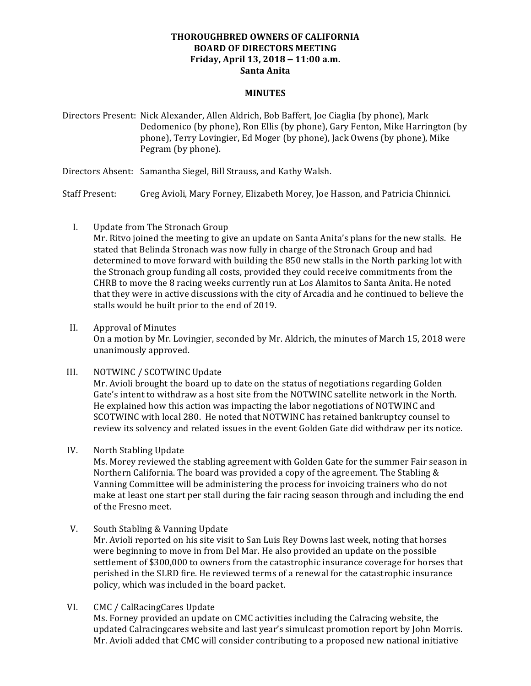## **THOROUGHBRED OWNERS OF CALIFORNIA BOARD OF DIRECTORS MEETING Friday, April 13, 2018 – 11:00 a.m. Santa Anita**

## **MINUTES**

Directors Present: Nick Alexander, Allen Aldrich, Bob Baffert, Joe Ciaglia (by phone), Mark Dedomenico (by phone), Ron Ellis (by phone), Gary Fenton, Mike Harrington (by phone), Terry Lovingier, Ed Moger (by phone), Jack Owens (by phone), Mike Pegram (by phone).

Directors Absent: Samantha Siegel, Bill Strauss, and Kathy Walsh.

Staff Present: Greg Avioli, Mary Forney, Elizabeth Morey, Joe Hasson, and Patricia Chinnici.

I. Update from The Stronach Group

Mr. Ritvo joined the meeting to give an update on Santa Anita's plans for the new stalls. He stated that Belinda Stronach was now fully in charge of the Stronach Group and had determined to move forward with building the 850 new stalls in the North parking lot with the Stronach group funding all costs, provided they could receive commitments from the CHRB to move the 8 racing weeks currently run at Los Alamitos to Santa Anita. He noted that they were in active discussions with the city of Arcadia and he continued to believe the stalls would be built prior to the end of 2019.

II. Approval of Minutes

On a motion by Mr. Lovingier, seconded by Mr. Aldrich, the minutes of March 15, 2018 were unanimously approved.

III. NOTWINC / SCOTWINC Update

Mr. Avioli brought the board up to date on the status of negotiations regarding Golden Gate's intent to withdraw as a host site from the NOTWINC satellite network in the North. He explained how this action was impacting the labor negotiations of NOTWINC and SCOTWINC with local 280. He noted that NOTWINC has retained bankruptcy counsel to review its solvency and related issues in the event Golden Gate did withdraw per its notice.

IV. North Stabling Update

Ms. Morey reviewed the stabling agreement with Golden Gate for the summer Fair season in Northern California. The board was provided a copy of the agreement. The Stabling & Vanning Committee will be administering the process for invoicing trainers who do not make at least one start per stall during the fair racing season through and including the end of the Fresno meet.

V. South Stabling & Vanning Update

Mr. Avioli reported on his site visit to San Luis Rey Downs last week, noting that horses were beginning to move in from Del Mar. He also provided an update on the possible settlement of \$300,000 to owners from the catastrophic insurance coverage for horses that perished in the SLRD fire. He reviewed terms of a renewal for the catastrophic insurance policy, which was included in the board packet.

VI. CMC / CalRacingCares Update

Ms. Forney provided an update on CMC activities including the Calracing website, the updated Calracingcares website and last year's simulcast promotion report by John Morris. Mr. Avioli added that CMC will consider contributing to a proposed new national initiative